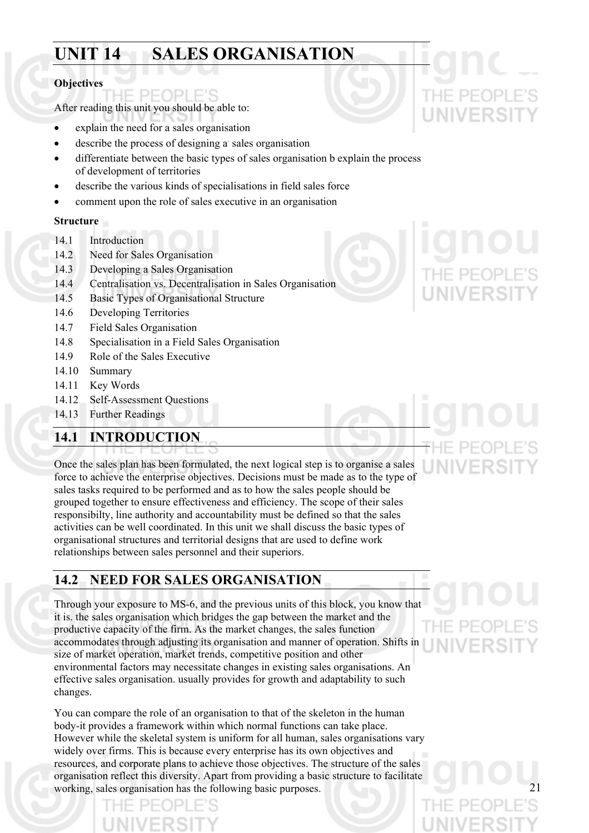## **UNIT 14 SALES ORGANISATION**

#### **Objectives**

After reading this unit you should be able to:

PFOPI

- explain the need for a sales organisation
- describe the process of designing a sales organisation
- differentiate between the basic types of sales organisation b explain the process of development of territories
- describe the various kinds of specialisations in field sales force
- comment upon the role of sales executive in an organisation

#### **Structure**

- 14.1 Introduction
- 14.2 Need for Sales Organisation
- 14.3 Developing a Sales Organisation
- 14.4 Centralisation vs. Decentralisation in Sales Organisation
- 14.5 Basic Types of Organisational Structure
- 14.6 Developing Territories
- 14.7 Field Sales Organisation
- 14.8 Specialisation in a Field Sales Organisation
- 14.9 Role of the Sales Executive
- 14.10 Summary
- 14.11 Key Words
- 14.12 Self-Assessment Questions
- 14.13 Further Readings

### **14.1 INTRODUCTION**

Once the sales plan has been formulated, the next logical step is to organise a sales force to achieve the enterprise objectives. Decisions must be made as to the type of sales tasks required to be performed and as to how the sales people should be grouped together to ensure effectiveness and efficiency. The scope of their sales responsibilty, line authority and accountability must be defined so that the sales activities can be well coordinated. In this unit we shall discuss the basic types of organisational structures and territorial designs that are used to define work relationships between sales personnel and their superiors.

#### **14.2 NEED FOR SALES ORGANISATION**

Through your exposure to MS-6, and the previous units of this block, you know that it is. the sales organisation which bridges the gap between the market and the productive capacity of the firm. As the market changes, the sales function accommodates through adjusting its organisation and manner of operation. Shifts in size of market operation, market trends, competitive position and other environmental factors may necessitate changes in existing sales organisations. An effective sales organisation. usually provides for growth and adaptability to such changes.

You can compare the role of an organisation to that of the skeleton in the human body-it provides a framework within which normal functions can take place. However while the skeletal system is uniform for all human, sales organisations vary widely over firms. This is because every enterprise has its own objectives and resources, and corporate plans to achieve those objectives. The structure of the sales organisation reflect this diversity. Apart from providing a basic structure to facilitate working, sales organisation has the following basic purposes.

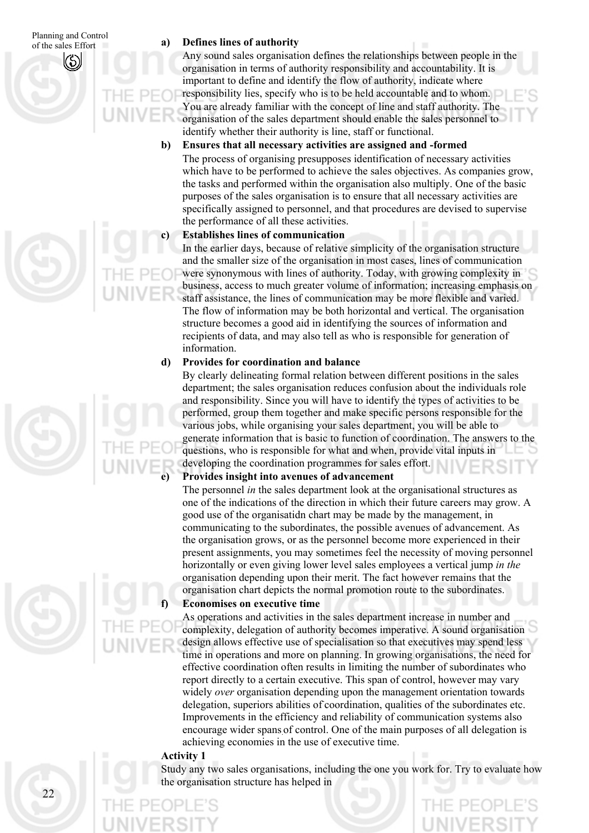#### **Defines lines of authority**

Any sound sales organisation defines the relationships between people in the organisation in terms of authority responsibility and accountability. It is important to define and identify the flow of authority, indicate where responsibility lies, specify who is to be held accountable and to whom. You are already familiar with the concept of line and staff authority. The organisation of the sales department should enable the sales personnel to identify whether their authority is line, staff or functional.

**b) Ensures that all necessary activities are assigned and -formed** 

The process of organising presupposes identification of necessary activities which have to be performed to achieve the sales objectives. As companies grow, the tasks and performed within the organisation also multiply. One of the basic purposes of the sales organisation is to ensure that all necessary activities are specifically assigned to personnel, and that procedures are devised to supervise the performance of all these activities.

#### **Establishes lines of communication**

**c)**

In the earlier days, because of relative simplicity of the organisation structure and the smaller size of the organisation in most cases, lines of communication were synonymous with lines of authority. Today, with growing complexity in business, access to much greater volume of information; increasing emphasis on staff assistance, the lines of communication may be more flexible and varied. The flow of information may be both horizontal and vertical. The organisation structure becomes a good aid in identifying the sources of information and recipients of data, and may also tell as who is responsible for generation of information.

#### **d) Provides for coordination and balance**

By clearly delineating formal relation between different positions in the sales department; the sales organisation reduces confusion about the individuals role and responsibility. Since you will have to identify the types of activities to be performed, group them together and make specific persons responsible for the various jobs, while organising your sales department, you will be able to generate information that is basic to function of coordination. The answers to the questions, who is responsible for what and when, provide vital inputs in developing the coordination programmes for sales effort.

#### **Provides insight into avenues of advancement**

The personnel *in* the sales department look at the organisational structures as one of the indications of the direction in which their future careers may grow. A good use of the organisatidn chart may be made by the management, in communicating to the subordinates, the possible avenues of advancement. As the organisation grows, or as the personnel become more experienced in their present assignments, you may sometimes feel the necessity of moving personnel horizontally or even giving lower level sales employees a vertical jump *in the*  organisation depending upon their merit. The fact however remains that the organisation chart depicts the normal promotion route to the subordinates.

#### **Economises on executive time**

As operations and activities in the sales department increase in number and complexity, delegation of authority becomes imperative. A sound organisation design allows effective use of specialisation so that executives may spend less time in operations and more on planning. In growing organisations, the need for effective coordination often results in limiting the number of subordinates who report directly to a certain executive. This span of control, however may vary widely *over* organisation depending upon the management orientation towards delegation, superiors abilities of coordination, qualities of the subordinates etc. Improvements in the efficiency and reliability of communication systems also encourage wider spans of control. One of the main purposes of all delegation is achieving economies in the use of executive time.

#### **Activity 1**

**f)**

Study any two sales organisations, including the one you work for. Try to evaluate how the organisation structure has helped in

# **e)**

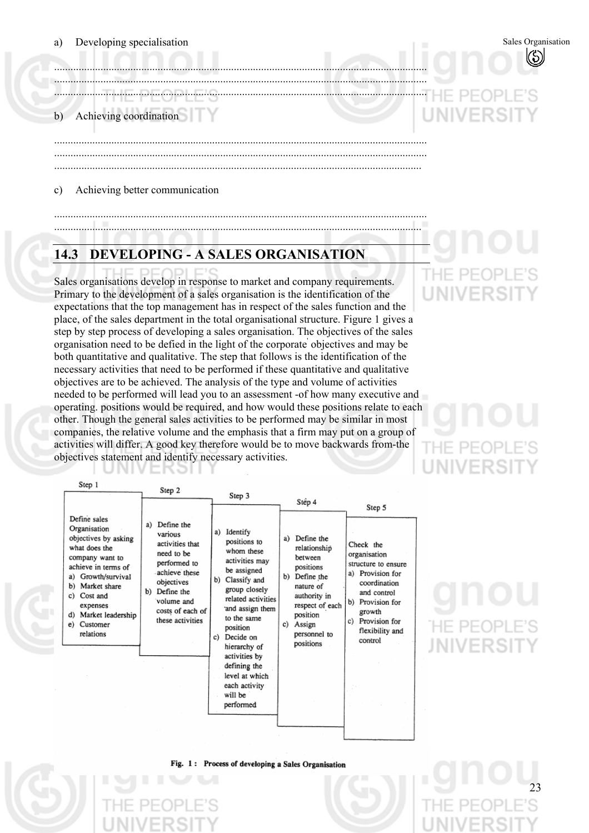.........................................................................................................................................

......................................................................................................................................... ......................................................................................................................................... .......................................................................................................................................

.........................................................................................................................................

#### b) Achieving coordination

c) Achieving better communication

## **14.3 DEVELOPING - A SALES ORGANISATION**

ERƏI

.........................................................................................................................................

Sales organisations develop in response to market and company requirements. Primary to the development of a sales organisation is the identification of the expectations that the top management has in respect of the sales function and the place, of the sales department in the total organisational structure. Figure 1 gives a step by step process of developing a sales organisation. The objectives of the sales organisation need to be defied in the light of the corporate' objectives and may be both quantitative and qualitative. The step that follows is the identification of the necessary activities that need to be performed if these quantitative and qualitative objectives are to be achieved. The analysis of the type and volume of activities needed to be performed will lead you to an assessment -of how many executive and operating. positions would be required, and how would these positions relate to each other. Though the general sales activities to be performed may be similar in most companies, the relative volume and the emphasis that a firm may put on a group of activities will differ. A good key therefore would be to move backwards from-the objectives statement and identify necessary activities.



## E PE( JNIVERS

23

Fig. 1: Process of developing a Sales Organisation

## ......................................................................................................................................... ....................................................................................................................................... THE PI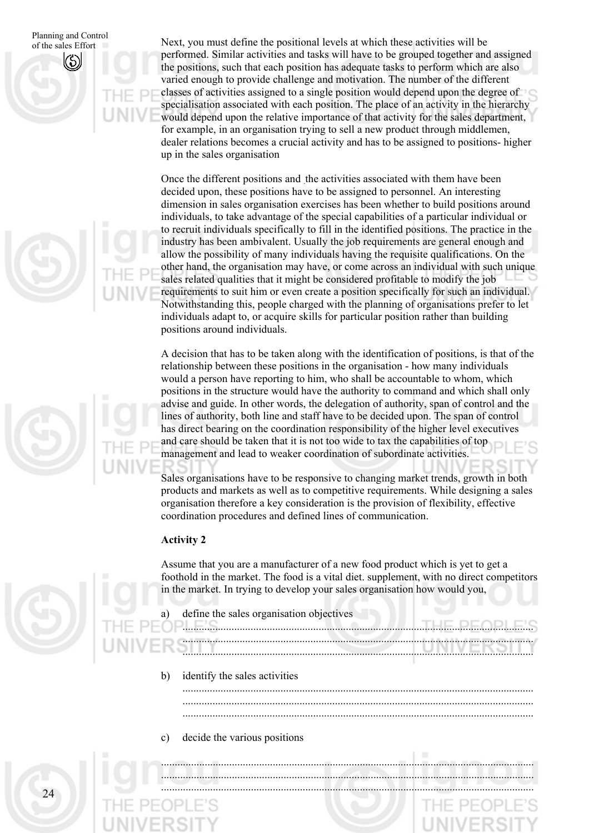Planning and Control Next, you must define the positional levels at which these activities will be positional levels at which these activities will be performed. Similar activities and tasks will have to be grouped together and assigned the positions, such that each position has adequate tasks to perform which are also varied enough to provide challenge and motivation. The number of the different classes of activities assigned to a single position would depend upon the degree of specialisation associated with each position. The place of an activity in the hierarchy would depend upon the relative importance of that activity for the sales department, for example, in an organisation trying to sell a new product through middlemen, dealer relations becomes a crucial activity and has to be assigned to positions- higher up in the sales organisation

> Once the different positions and the activities associated with them have been decided upon, these positions have to be assigned to personnel. An interesting dimension in sales organisation exercises has been whether to build positions around individuals, to take advantage of the special capabilities of a particular individual or to recruit individuals specifically to fill in the identified positions. The practice in the industry has been ambivalent. Usually the job requirements are general enough and allow the possibility of many individuals having the requisite qualifications. On the other hand, the organisation may have, or come across an individual with such unique sales related qualities that it might be considered profitable to modify the job requirements to suit him or even create a position specifically for such an individual. Notwithstanding this, people charged with the planning of organisations prefer to let individuals adapt to, or acquire skills for particular position rather than building positions around individuals.

> A decision that has to be taken along with the identification of positions, is that of the relationship between these positions in the organisation - how many individuals would a person have reporting to him, who shall be accountable to whom, which positions in the structure would have the authority to command and which shall only advise and guide. In other words, the delegation of authority, span of control and the lines of authority, both line and staff have to be decided upon. The span of control has direct bearing on the coordination responsibility of the higher level executives and care should be taken that it is not too wide to tax the capabilities of top management and lead to weaker coordination of subordinate activities.

> Sales organisations have to be responsive to changing market trends, growth in both products and markets as well as to competitive requirements. While designing a sales organisation therefore a key consideration is the provision of flexibility, effective coordination procedures and defined lines of communication.

#### **Activity 2**

Assume that you are a manufacturer of a new food product which is yet to get a foothold in the market. The food is a vital diet. supplement, with no direct competitors in the market. In trying to develop your sales organisation how would you,

.........................................................................................................................................

.........................................................................................................................................

.........................................................................................................................................

.................................................................................................................................

- a) define the sales organisation objectives
- .................................................................................................................................
- .................................................................................................................................
	- b) identify the sales activities .................................................................................................................................
	- ................................................................................................................................. .................................................................................................................................
	- c) decide the various positions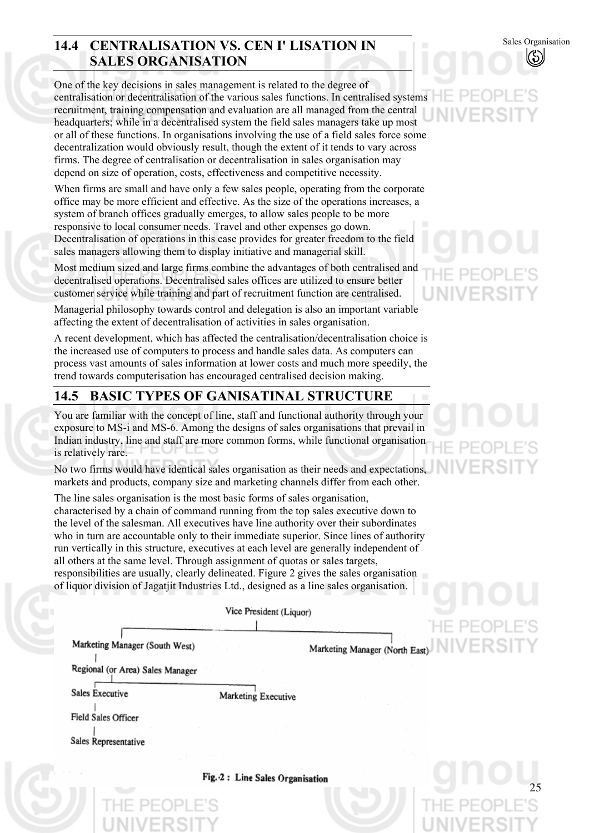### **14.4 CENTRALISATION VS. CEN I' LISATION IN SALES ORGANISATION**

One of the key decisions in sales management is related to the degree of centralisation or decentralisation of the various sales functions. In centralised systems recruitment, training compensation and evaluation are all managed from the central headquarters; while in a decentralised system the field sales managers take up most or all of these functions. In organisations involving the use of a field sales force some decentralization would obviously result, though the extent of it tends to vary across firms. The degree of centralisation or decentralisation in sales organisation may depend on size of operation, costs, effectiveness and competitive necessity.

When firms are small and have only a few sales people, operating from the corporate office may be more efficient and effective. As the size of the operations increases, a system of branch offices gradually emerges, to allow sales people to be more responsive to local consumer needs. Travel and other expenses go down. Decentralisation of operations in this case provides for greater freedom to the field sales managers allowing them to display initiative and managerial skill.

Most medium sized and large firms combine the advantages of both centralised and decentralised operations. Decentralised sales offices are utilized to ensure better customer service while training and part of recruitment function are centralised.

Managerial philosophy towards control and delegation is also an important variable affecting the extent of decentralisation of activities in sales organisation.

A recent development, which has affected the centralisation/decentralisation choice is the increased use of computers to process and handle sales data. As computers can process vast amounts of sales information at lower costs and much more speedily, the trend towards computerisation has encouraged centralised decision making.

#### **14.5 BASIC TYPES OF GANISATINAL STRUCTURE**

You are familiar with the concept of line, staff and functional authority through your exposure to MS-i and MS-6. Among the designs of sales organisations that prevail in Indian industry, line and staff are more common forms, while functional organisation is relatively rare.

No two firms would have identical sales organisation as their needs and expectations, markets and products, company size and marketing channels differ from each other.

The line sales organisation is the most basic forms of sales organisation, characterised by a chain of command running from the top sales executive down to the level of the salesman. All executives have line authority over their subordinates who in turn are accountable only to their immediate superior. Since lines of authority run vertically in this structure, executives at each level are generally independent of all others at the same level. Through assignment of quotas or sales targets, responsibilities are usually, clearly delineated. Figure 2 gives the sales organisation of liquor division of Jagatjit Industries Ltd., designed as a line sales organisation.

Vice President (Liquor)

Marketing Manager (South West)

Regional (or Area) Sales Manager

Sales Executive

Field Sales Officer

Sales Representative

Sales Organisation

-if PFOI

25

Marketing Manager (North East)

Fig. 2: Line Sales Organisation

Marketing Executive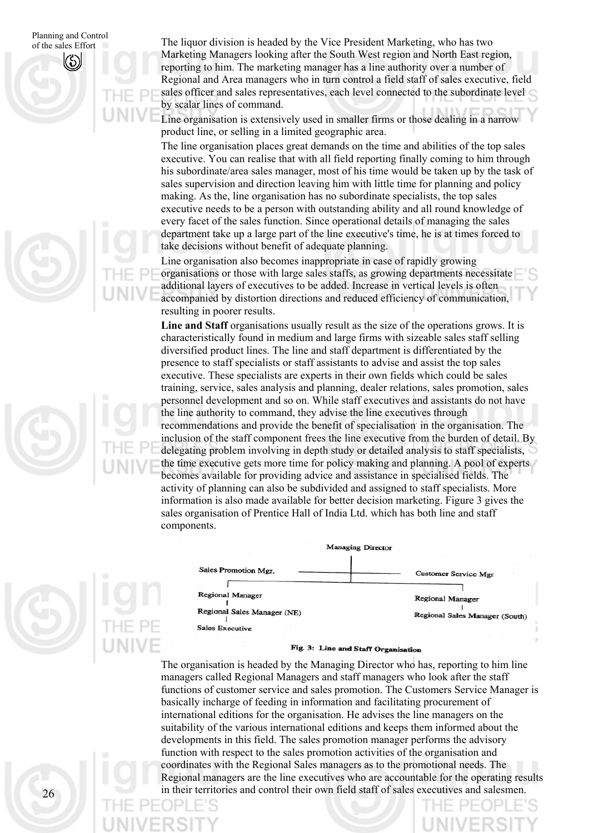Planning and Control The liquor division is headed by the Vice President Marketing, who has two president Marketing, who has two Marketing Managers looking after the South West region and North East region, reporting to him. The marketing manager has a line authority over a number of Regional and Area managers who in turn control a field staff of sales executive, field sales officer and sales representatives, each level connected to the subordinate level by scalar lines of command.

> Line organisation is extensively used in smaller firms or those dealing in a narrow product line, or selling in a limited geographic area.

The line organisation places great demands on the time and abilities of the top sales executive. You can realise that with all field reporting finally coming to him through his subordinate/area sales manager, most of his time would be taken up by the task of sales supervision and direction leaving him with little time for planning and policy making. As the, line organisation has no subordinate specialists, the top sales executive needs to be a person with outstanding ability and all round knowledge of every facet of the sales function. Since operational details of managing the sales department take up a large part of the line executive's time, he is at times forced to take decisions without benefit of adequate planning.

Line organisation also becomes inappropriate in case of rapidly growing organisations or those with large sales staffs, as growing departments necessitate additional layers of executives to be added. Increase in vertical levels is often accompanied by distortion directions and reduced efficiency of communication, resulting in poorer results.

**Line and Staff** organisations usually result as the size of the operations grows. It is characteristically found in medium and large firms with sizeable sales staff selling diversified product lines. The line and staff department is differentiated by the presence to staff specialists or staff assistants to advise and assist the top sales executive. These specialists are experts in their own fields which could be sales training, service, sales analysis and planning, dealer relations, sales promotion, sales personnel development and so on. While staff executives and assistants do not have the line authority to command, they advise the line executives through recommendations and provide the benefit of specialisation in the organisation. The inclusion of the staff component frees the line executive from the burden of detail. By delegating problem involving in depth study or detailed analysis to staff specialists, the time executive gets more time for policy making and planning. A pool of experts becomes available for providing advice and assistance in specialised fields. The activity of planning can also be subdivided and assigned to staff specialists. More information is also made available for better decision marketing. Figure 3 gives the sales organisation of Prentice Hall of India Ltd. which has both line and staff components.



#### Fig. 3: Line and Staff Organisation

The organisation is headed by the Managing Director who has, reporting to him line managers called Regional Managers and staff managers who look after the staff functions of customer service and sales promotion. The Customers Service Manager is basically incharge of feeding in information and facilitating procurement of international editions for the organisation. He advises the line managers on the suitability of the various international editions and keeps them informed about the developments in this field. The sales promotion manager performs the advisory function with respect to the sales promotion activities of the organisation and coordinates with the Regional Sales managers as to the promotional needs. The Regional managers are the line executives who are accountable for the operating results in their territories and control their own field staff of sales executives and salesmen.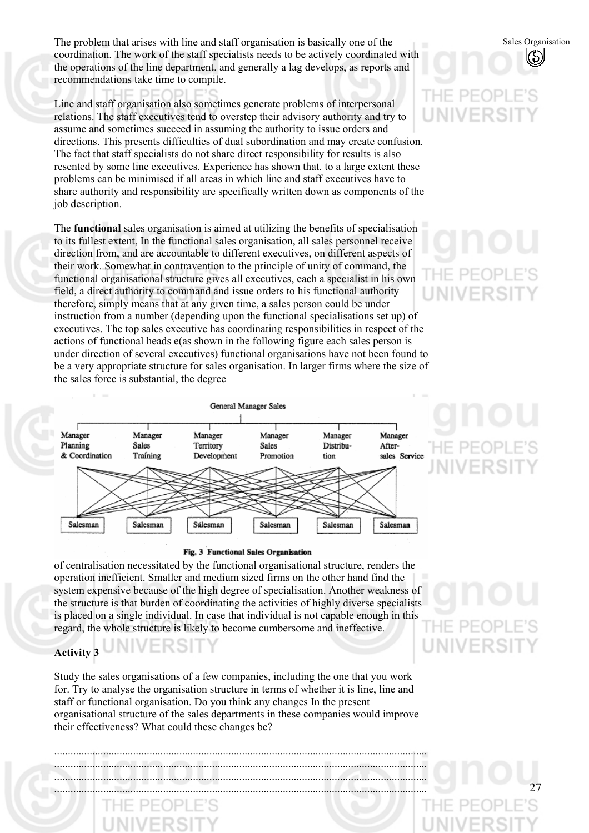The problem that arises with line and staff organisation is basically one of the coordination. The work of the staff specialists needs to be actively coordinated with the operations of the line department. and generally a lag develops, as reports and recommendations take time to compile.

Line and staff organisation also sometimes generate problems of interpersonal relations. The staff executives tend to overstep their advisory authority and try to assume and sometimes succeed in assuming the authority to issue orders and directions. This presents difficulties of dual subordination and may create confusion. The fact that staff specialists do not share direct responsibility for results is also resented by some line executives. Experience has shown that. to a large extent these problems can be minimised if all areas in which line and staff executives have to share authority and responsibility are specifically written down as components of the job description.

The **functional** sales organisation is aimed at utilizing the benefits of specialisation to its fullest extent, In the functional sales organisation, all sales personnel receive direction from, and are accountable to different executives, on different aspects of their work. Somewhat in contravention to the principle of unity of command, the functional organisational structure gives all executives, each a specialist in his own field, a direct authority to command and issue orders to his functional authority therefore, simply means that at any given time, a sales person could be under instruction from a number (depending upon the functional specialisations set up) of executives. The top sales executive has coordinating responsibilities in respect of the actions of functional heads e(as shown in the following figure each sales person is under direction of several executives) functional organisations have not been found to be a very appropriate structure for sales organisation. In larger firms where the size of the sales force is substantial, the degree



#### Fig. 3 Functional Sales Organisation

of centralisation necessitated by the functional organisational structure, renders the operation inefficient. Smaller and medium sized firms on the other hand find the system expensive because of the high degree of specialisation. Another weakness of the structure is that burden of coordinating the activities of highly diverse specialists is placed on a single individual. In case that individual is not capable enough in this regard, the whole structure is likely to become cumbersome and ineffective.

#### **Activity 3**

Study the sales organisations of a few companies, including the one that you work for. Try to analyse the organisation structure in terms of whether it is line, line and staff or functional organisation. Do you think any changes In the present organisational structure of the sales departments in these companies would improve their effectiveness? What could these changes be?

......................................................................................................................................... ......................................................................................................................................... ......................................................................................................................................... .........................................................................................................................................

## THE PEC UNIVERS

Sales Organisation

# IF PF UNIVERS

# UNIVERSI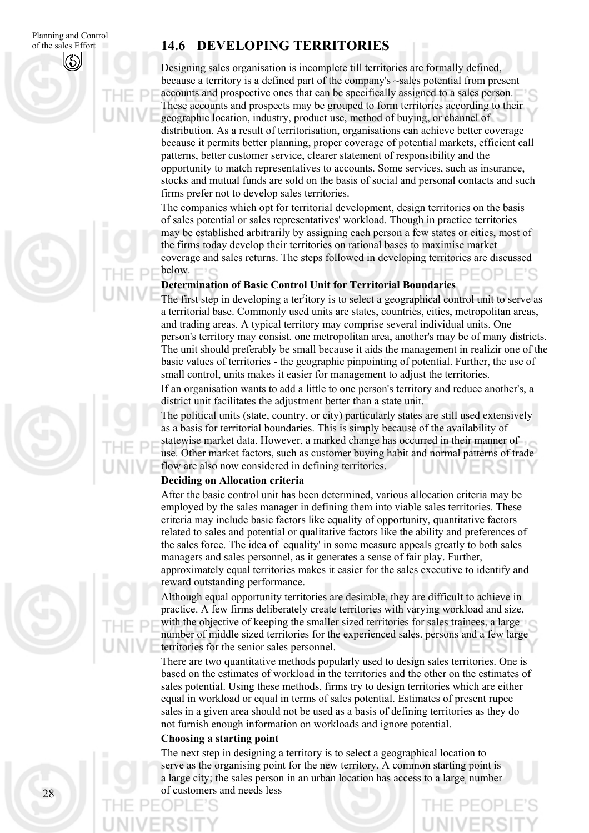Planning and Control of the sales Effort

#### **14.6 DEVELOPING TERRITORIES**

Designing sales organisation is incomplete till territories are formally defined, because a territory is a defined part of the company's ~sales potential from present accounts and prospective ones that can be specifically assigned to a sales person. These accounts and prospects may be grouped to form territories according to their geographic location, industry, product use, method of buying, or channel of distribution. As a result of territorisation, organisations can achieve better coverage because it permits better planning, proper coverage of potential markets, efficient call patterns, better customer service, clearer statement of responsibility and the opportunity to match representatives to accounts. Some services, such as insurance, stocks and mutual funds are sold on the basis of social and personal contacts and such firms prefer not to develop sales territories.

The companies which opt for territorial development, design territories on the basis of sales potential or sales representatives' workload. Though in practice territories may be established arbitrarily by assigning each person a few states or cities, most of the firms today develop their territories on rational bases to maximise market coverage and sales returns. The steps followed in developing territories are discussed below.

#### **Determination of Basic Control Unit for Territorial Boundaries**

The first step in developing a ter<sup>r</sup>itory is to select a geographical control unit to serve as a territorial base. Commonly used units are states, countries, cities, metropolitan areas, and trading areas. A typical territory may comprise several individual units. One person's territory may consist. one metropolitan area, another's may be of many districts. The unit should preferably be small because it aids the management in realizir one of the basic values of territories - the geographic pinpointing of potential. Further, the use of small control, units makes it easier for management to adjust the territories.

If an organisation wants to add a little to one person's territory and reduce another's, a district unit facilitates the adjustment better than a state unit.

The political units (state, country, or city) particularly states are still used extensively as a basis for territorial boundaries. This is simply because of the availability of statewise market data. However, a marked change has occurred in their manner of use. Other market factors, such as customer buying habit and normal patterns of trade flow are also now considered in defining territories.

#### **Deciding on Allocation criteria**

After the basic control unit has been determined, various allocation criteria may be employed by the sales manager in defining them into viable sales territories. These criteria may include basic factors like equality of opportunity, quantitative factors related to sales and potential or qualitative factors like the ability and preferences of the sales force. The idea of ` equality' in some measure appeals greatly to both sales managers and sales personnel, as it generates a sense of fair play. Further, approximately equal territories makes it easier for the sales executive to identify and reward outstanding performance.

Although equal opportunity territories are desirable, they are difficult to achieve in practice. A few firms deliberately create territories with varying workload and size, with the objective of keeping the smaller sized territories for sales trainees, a large number of middle sized territories for the experienced sales. persons and a few large territories for the senior sales personnel.

There are two quantitative methods popularly used to design sales territories. One is based on the estimates of workload in the territories and the other on the estimates of sales potential. Using these methods, firms try to design territories which are either equal in workload or equal in terms of sales potential. Estimates of present rupee sales in a given area should not be used as a basis of defining territories as they do not furnish enough information on workloads and ignore potential.

#### **Choosing a starting point**

The next step in designing a territory is to select a geographical location to serve as the organising point for the new territory. A common starting point is a large city; the sales person in an urban location has access to a large, number of customers and needs less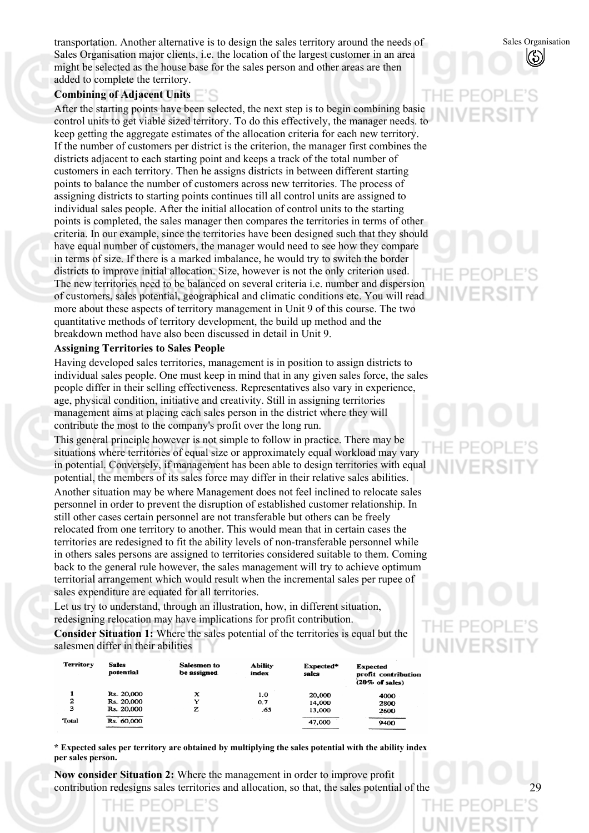transportation. Another alternative is to design the sales territory around the needs of Sales Organisation major clients, i.e. the location of the largest customer in an area might be selected as the house base for the sales person and other areas are then added to complete the territory.

#### **Combining of Adjacent Units**

After the starting points have been selected, the next step is to begin combining basic control units to get viable sized territory. To do this effectively, the manager needs. to keep getting the aggregate estimates of the allocation criteria for each new territory. If the number of customers per district is the criterion, the manager first combines the districts adjacent to each starting point and keeps a track of the total number of customers in each territory. Then he assigns districts in between different starting points to balance the number of customers across new territories. The process of assigning districts to starting points continues till all control units are assigned to individual sales people. After the initial allocation of control units to the starting points is completed, the sales manager then compares the territories in terms of other criteria. In our example, since the territories have been designed such that they should have equal number of customers, the manager would need to see how they compare in terms of size. If there is a marked imbalance, he would try to switch the border districts to improve initial allocation. Size, however is not the only criterion used. The new territories need to be balanced on several criteria i.e. number and dispersion of customers, sales potential, geographical and climatic conditions etc. You will read more about these aspects of territory management in Unit 9 of this course. The two quantitative methods of territory development, the build up method and the breakdown method have also been discussed in detail in Unit 9.

#### **Assigning Territories to Sales People**

Having developed sales territories, management is in position to assign districts to individual sales people. One must keep in mind that in any given sales force, the sales people differ in their selling effectiveness. Representatives also vary in experience, age, physical condition, initiative and creativity. Still in assigning territories management aims at placing each sales person in the district where they will contribute the most to the company's profit over the long run.

This general principle however is not simple to follow in practice. There may be situations where territories of equal size or approximately equal workload may vary in potential. Conversely, if management has been able to design territories with equal potential, the members of its sales force may differ in their relative sales abilities.

Another situation may be where Management does not feel inclined to relocate sales personnel in order to prevent the disruption of established customer relationship. In still other cases certain personnel are not transferable but others can be freely relocated from one territory to another. This would mean that in certain cases the territories are redesigned to fit the ability levels of non-transferable personnel while in others sales persons are assigned to territories considered suitable to them. Coming back to the general rule however, the sales management will try to achieve optimum territorial arrangement which would result when the incremental sales per rupee of sales expenditure are equated for all territories.

Let us try to understand, through an illustration, how, in different situation, redesigning relocation may have implications for profit contribution.

**Consider Situation 1:** Where the sales potential of the territories is equal but the salesmen differ in their abilities

| <b>Territory</b> | <b>Sales</b><br>potential | Salesmen to<br>be assigned | <b>Ability</b><br>index | Expected*<br>sales | <b>Expected</b><br>profit contribution<br>$(20\% \text{ of sales})$ |
|------------------|---------------------------|----------------------------|-------------------------|--------------------|---------------------------------------------------------------------|
|                  | Rs. 20,000                | x                          | 1.0                     | 20,000             | 4000                                                                |
| 2                | Rs. 20,000                | Y                          | 0.7                     | 14,000             | 2800                                                                |
| 3                | Rs. 20,000                | z                          | .65                     | 13,000             | 2600                                                                |
| Total            | Rs. 60,000                |                            |                         | 47,000             | 9400                                                                |

**\* Expected sales per territory are obtained by multiplying the sales potential with the ability index per sales person.** 

**Now consider Situation 2:** Where the management in order to improve profit contribution redesigns sales territories and allocation, so that, the sales potential of the



Sales Organisation

**IIVERS**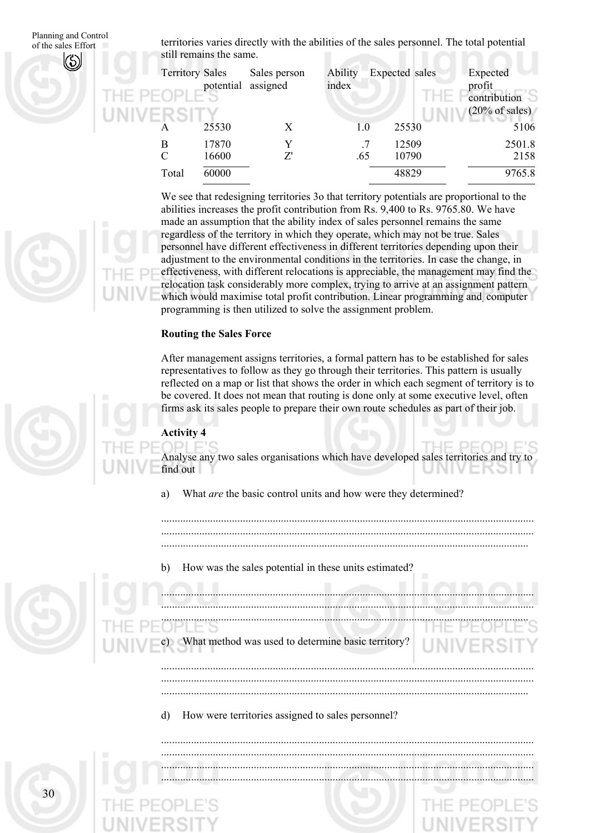Planning and Control territories varies directly with the abilities of the sales personnel. The total potential of the sales Effort still remains the same.

| <b>Territory Sales</b> | potential      | Sales person<br>assigned | <b>Ability</b><br>index | Expected sales | Expected<br>profit<br>contribution<br>$(20\% \text{ of sales})$ |
|------------------------|----------------|--------------------------|-------------------------|----------------|-----------------------------------------------------------------|
|                        | 25530          | X                        | 1.0                     | 25530          | 5106                                                            |
| B<br>$\mathcal{C}$     | 17870<br>16600 | Y<br>Z'                  | .65                     | 12509<br>10790 | 2501.8<br>2158                                                  |
| Total                  | 60000          |                          |                         | 48829          | 9765.8                                                          |

We see that redesigning territories 3o that territory potentials are proportional to the abilities increases the profit contribution from Rs. 9,400 to Rs. 9765.80. We have made an assumption that the ability index of sales personnel remains the same regardless of the territory in which they operate, which may not be true. Sales personnel have different effectiveness in different territories depending upon their adjustment to the environmental conditions in the territories. In case the change, in effectiveness, with different relocations is appreciable, the management may find the relocation task considerably more complex, trying to arrive at an assignment pattern which would maximise total profit contribution. Linear programming and, computer programming is then utilized to solve the assignment problem.

#### **Routing the Sales Force**

After management assigns territories, a formal pattern has to be established for sales representatives to follow as they go through their territories. This pattern is usually reflected on a map or list that shows the order in which each segment of territory is to be covered. It does not mean that routing is done only at some executive level, often firms ask its sales people to prepare their own route schedules as part of their job.

#### **Activity 4**

Analyse any two sales organisations which have developed sales territories and try to find out

a) What *are* the basic control units and how were they determined?

......................................................................................................................................... ......................................................................................................................................... .......................................................................................................................................

b) How was the sales potential in these units estimated?

c) ......................................................................................................................................... ......................................................................................................................................... ....................................................................................................................................... What method was used to determine basic territory? .........................................................................................................................................

......................................................................................................................................... .......................................................................................................................................

d) How were territories assigned to sales personnel?

......................................................................................................................................... ......................................................................................................................................... ......................................................................................................................................... .........................................................................................................................................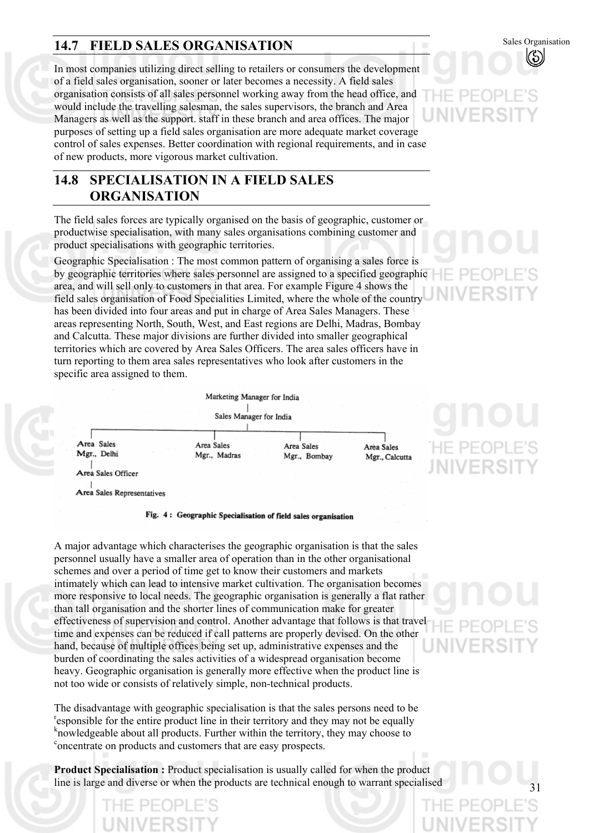## **14.7 FIELD SALES ORGANISATION** Sales Organisation

In most companies utilizing direct selling to retailers or consumers the development of a field sales organisation, sooner or later becomes a necessity. A field sales organisation consists of all sales personnel working away from the head office, and would include the travelling salesman, the sales supervisors, the branch and Area Managers as well as the support. staff in these branch and area offices. The major purposes of setting up a field sales organisation are more adequate market coverage control of sales expenses. Better coordination with regional requirements, and in case of new products, more vigorous market cultivation.

#### **14.8 SPECIALISATION IN A FIELD SALES ORGANISATION**

The field sales forces are typically organised on the basis of geographic, customer or productwise specialisation, with many sales organisations combining customer and product specialisations with geographic territories.

Geographic Specialisation : The most common pattern of organising a sales force is by geographic territories where sales personnel are assigned to a specified geographic area, and will sell only to customers in that area. For example Figure 4 shows the field sales organisation of Food Specialities Limited, where the whole of the country has been divided into four areas and put in charge of Area Sales Managers. These areas representing North, South, West, and East regions are Delhi, Madras, Bombay and Calcutta. These major divisions are further divided into smaller geographical territories which are covered by Area Sales Officers. The area sales officers have in turn reporting to them area sales representatives who look after customers in the specific area assigned to them.

Marketing Manager for India Sales Manager for India Area Sales Area Sales Area Sales Mgr., Delhi Mgr., Madras Mgr., Bombay Area Sales Officer

Area Sales Representatives

#### Fig. 4: Geographic Specialisation of field sales organisation

A major advantage which characterises the geographic organisation is that the sales personnel usually have a smaller area of operation than in the other organisational schemes and over a period of time get to know their customers and markets intimately which can lead to intensive market cultivation. The organisation becomes more responsive to local needs. The geographic organisation is generally a flat rather than tall organisation and the shorter lines of communication make for greater effectiveness of supervision and control. Another advantage that follows is that travel time and expenses can be reduced if call patterns are properly devised. On the other hand, because of multiple offices being set up, administrative expenses and the burden of coordinating the sales activities of a widespread organisation become heavy. Geographic organisation is generally more effective when the product line is not too wide or consists of relatively simple, non-technical products.

The disadvantage with geographic specialisation is that the sales persons need to be  $\epsilon$  responsible for the entire product line in their territory and they may not be equally k howledgeable about all products. Further within the territory, they may choose to concentrate on products and quatements that are casey prographs. <sup>c</sup>oncentrate on products and customers that are easy prospects.

**Product Specialisation :** Product specialisation is usually called for when the product line is large and diverse or when the products are technical enough to warrant specialised



# HE PEOP **IIVERS**

Area Sales

Mgr., Calcutta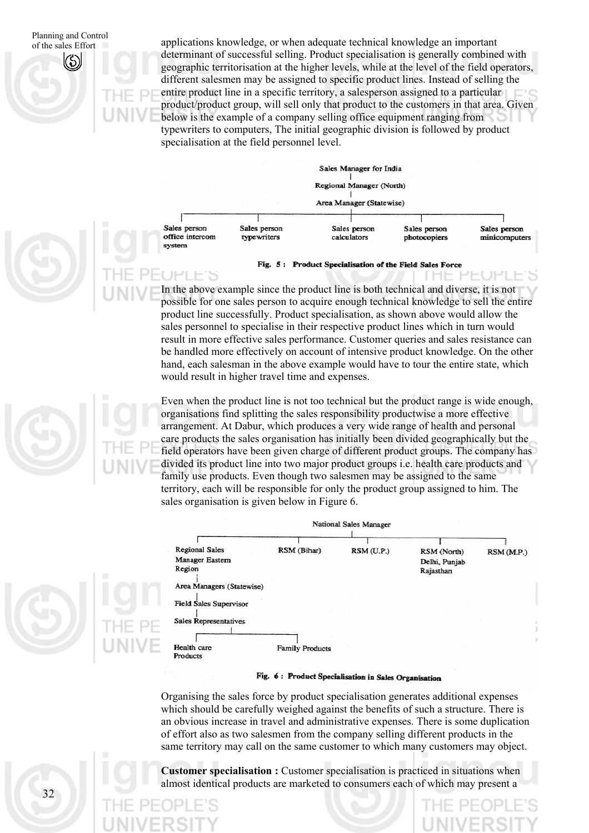Planning and Control applications knowledge, or when adequate technical knowledge an important profile sales Effort determinant of successful selling. Product specialisation is generally combined with geographic territorisation at the higher levels, while at the level of the field operators, different salesmen may be assigned to specific product lines. Instead of selling the entire product line in a specific territory, a salesperson assigned to a particular product/product group, will sell only that product to the customers in that area. Given below is the example of a company selling office equipment ranging from typewriters to computers, The initial geographic division is followed by product specialisation at the field personnel level.



#### Fig. 5: Product Specialisation of the Field Sales Force

In the above example since the product line is both technical and diverse, it is not possible for one sales person to acquire enough technical knowledge to sell the entire product line successfully. Product specialisation, as shown above would allow the sales personnel to specialise in their respective product lines which in turn would result in more effective sales performance. Customer queries and sales resistance can be handled more effectively on account of intensive product knowledge. On the other hand, each salesman in the above example would have to tour the entire state, which would result in higher travel time and expenses.

Even when the product line is not too technical but the product range is wide enough, organisations find splitting the sales responsibility productwise a more effective arrangement. At Dabur, which produces a very wide range of health and personal care products the sales organisation has initially been divided geographically but the field operators have been given charge of different product groups. The company has divided its product line into two major product groups i.e. health care products and family use products. Even though two salesmen may be assigned to the same territory, each will be responsible for only the product group assigned to him. The sales organisation is given below in Figure 6.



#### Fig. 6: Product Specialisation in Sales Organisation

Organising the sales force by product specialisation generates additional expenses which should be carefully weighed against the benefits of such a structure. There is an obvious increase in travel and administrative expenses. There is some duplication of effort also as two salesmen from the company selling different products in the same territory may call on the same customer to which many customers may object.

**Customer specialisation :** Customer specialisation is practiced in situations when almost identical products are marketed to consumers each of which may present a

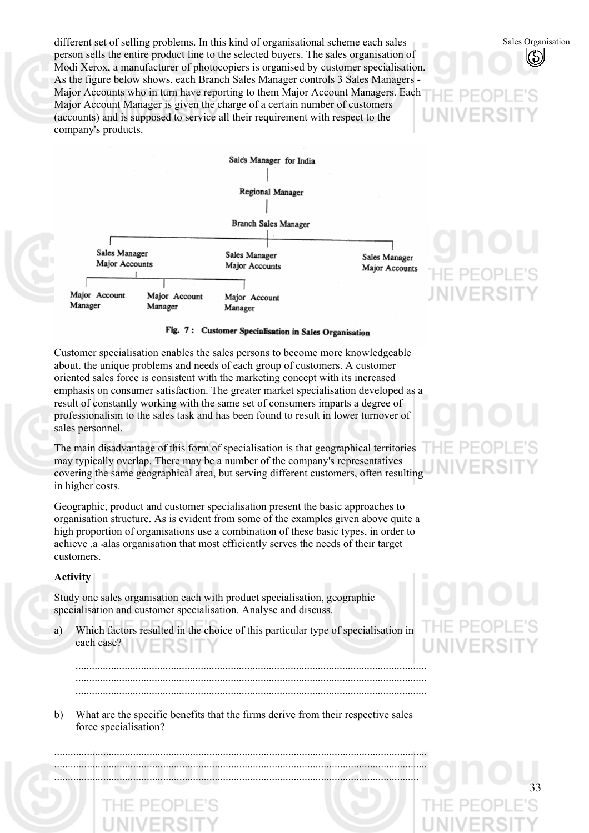different set of selling problems. In this kind of organisational scheme each sales person sells the entire product line to the selected buyers. The sales organisation of Modi Xerox, a manufacturer of photocopiers is organised by customer specialisation. As the figure below shows, each Branch Sales Manager controls 3 Sales Managers - Major Accounts who in turn have reporting to them Major Account Managers. Each Major Account Manager is given the charge of a certain number of customers (accounts) and is supposed to service all their requirement with respect to the company's products.



#### Fig. 7: Customer Specialisation in Sales Organisation

Customer specialisation enables the sales persons to become more knowledgeable about. the unique problems and needs of each group of customers. A customer oriented sales force is consistent with the marketing concept with its increased emphasis on consumer satisfaction. The greater market specialisation developed as a result of constantly working with the same set of consumers imparts a degree of professionalism to the sales task and has been found to result in lower turnover of sales personnel.

The main disadvantage of this form of specialisation is that geographical territories may typically overlap. There may be a number of the company's representatives covering the same geographical area, but serving different customers, often resulting in higher costs.

Geographic, product and customer specialisation present the basic approaches to organisation structure. As is evident from some of the examples given above quite a high proportion of organisations use a combination of these basic types, in order to achieve .a °alas organisation that most efficiently serves the needs of their target customers.

#### **Activity**

Study one sales organisation each with product specialisation, geographic specialisation and customer specialisation. Analyse and discuss.

a) Which factors resulted in the choice of this particular type of specialisation in each case?

JIVERS

Sales Organisation

33

b) What are the specific benefits that the firms derive from their respective sales force specialisation?

......................................................................................................................................... ......................................................................................................................................... ......................................................................................................................................

................................................................................................................................. ................................................................................................................................. .................................................................................................................................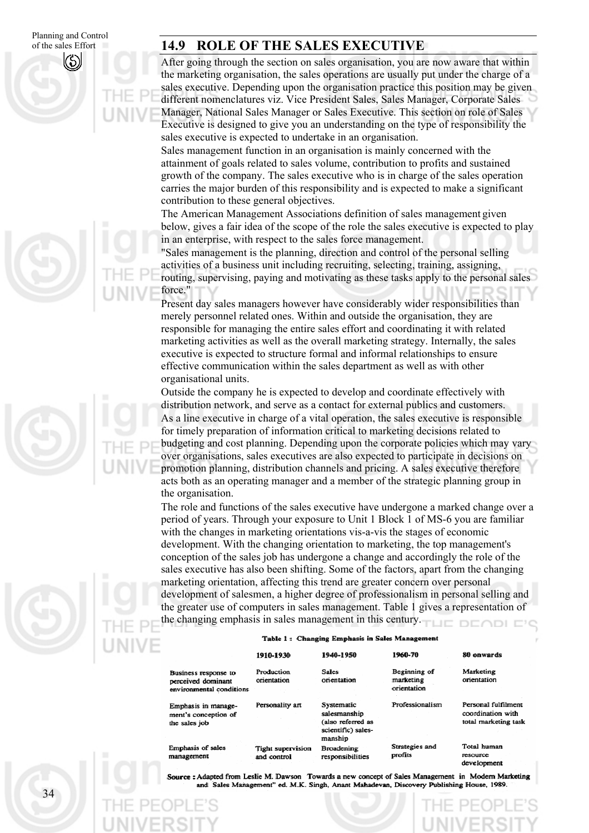#### **14.9 ROLE OF THE SALES EXECUTIVE**

After going through the section on sales organisation, you are now aware that within the marketing organisation, the sales operations are usually put under the charge of a sales executive. Depending upon the organisation practice this position may be given different nomenclatures viz. Vice President Sales, Sales Manager, Corporate Sales Manager, National Sales Manager or Sales Executive. This section on role of Sales Executive is designed to give you an understanding on the type of responsibility the sales executive is expected to undertake in an organisation.

Sales management function in an organisation is mainly concerned with the attainment of goals related to sales volume, contribution to profits and sustained growth of the company. The sales executive who is in charge of the sales operation carries the major burden of this responsibility and is expected to make a significant contribution to these general objectives.

The American Management Associations definition of sales management given below, gives a fair idea of the scope of the role the sales executive is expected to play in an enterprise, with respect to the sales force management.

"Sales management is the planning, direction and control of the personal selling activities of a business unit including recruiting, selecting, training, assigning, routing, supervising, paying and motivating as these tasks apply to the personal sales force."

Present day sales managers however have considerably wider responsibilities than merely personnel related ones. Within and outside the organisation, they are responsible for managing the entire sales effort and coordinating it with related marketing activities as well as the overall marketing strategy. Internally, the sales executive is expected to structure formal and informal relationships to ensure effective communication within the sales department as well as with other organisational units.

Outside the company he is expected to develop and coordinate effectively with distribution network, and serve as a contact for external publics and customers. As a line executive in charge of a vital operation, the sales executive is responsible for timely preparation of information critical to marketing decisions related to budgeting and cost planning. Depending upon the corporate policies which may vary over organisations, sales executives are also expected to participate in decisions on promotion planning, distribution channels and pricing. A sales executive therefore acts both as an operating manager and a member of the strategic planning group in the organisation.

The role and functions of the sales executive have undergone a marked change over a period of years. Through your exposure to Unit 1 Block 1 of MS-6 you are familiar with the changes in marketing orientations vis-a-vis the stages of economic development. With the changing orientation to marketing, the top management's conception of the sales job has undergone a change and accordingly the role of the sales executive has also been shifting. Some of the factors, apart from the changing marketing orientation, affecting this trend are greater concern over personal development of salesmen, a higher degree of professionalism in personal selling and the greater use of computers in sales management. Table 1 gives a representation of the changing emphasis in sales management in this century.

#### Table 1: Changing Emphasis in Sales Management

|                                                                        | 1910-1930                               | 1940-1950                                                                        | 1960-70                                  | 80 onwards                                                       |
|------------------------------------------------------------------------|-----------------------------------------|----------------------------------------------------------------------------------|------------------------------------------|------------------------------------------------------------------|
| Business response to<br>perceived dominant<br>environmental conditions | Production<br>orientation               | <b>Sales</b><br>orientation                                                      | Beginning of<br>marketing<br>orientation | Marketing<br>orientation                                         |
| Emphasis in manage-<br>ment's conception of<br>the sales job           | Personality art                         | Systematic<br>salesmanship<br>(also referred as<br>scientific) sales-<br>manship | Professionalism                          | Personal fulfilment<br>coordination with<br>total marketing task |
| <b>Emphasis of sales</b><br>management                                 | <b>Tight supervision</b><br>and control | <b>Broadening</b><br>responsibilities                                            | Strategies and<br>profits                | Total human<br>resource<br>development                           |

: Adapted from Leslie M. Dawson Towards a new concept of Sales Management in Modern Marketing and Sales Management" ed. M.K. Singh, Anant Mahadevan, Discovery Publishing House, 1989.

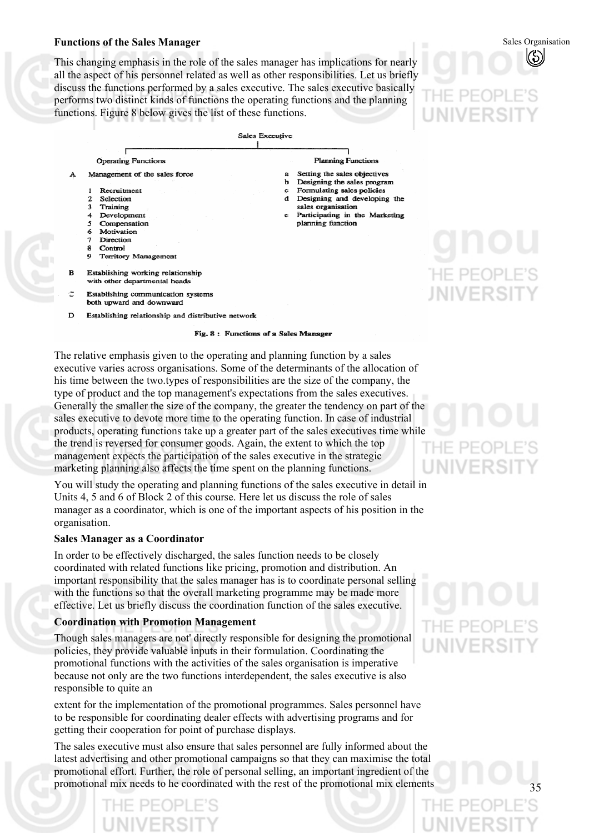#### **Functions of the Sales Manager**

This changing emphasis in the role of the sales manager has implications for nearly all the aspect of his personnel related as well as other responsibilities. Let us briefly discuss the functions performed by a sales executive. The sales executive basically performs two distinct kinds of functions the operating functions and the planning functions. Figure 8 below gives the list of these functions.



Fig. 8: Functions of a Sales Manager

The relative emphasis given to the operating and planning function by a sales executive varies across organisations. Some of the determinants of the allocation of his time between the two.types of responsibilities are the size of the company, the type of product and the top management's expectations from the sales executives. Generally the smaller the size of the company, the greater the tendency on part of the sales executive to devote more time to the operating function. In case of industrial products, operating functions take up a greater part of the sales executives time while the trend is reversed for consumer goods. Again, the extent to which the top management expects the participation of the sales executive in the strategic marketing planning also affects the time spent on the planning functions.

You will study the operating and planning functions of the sales executive in detail in Units 4, 5 and 6 of Block 2 of this course. Here let us discuss the role of sales manager as a coordinator, which is one of the important aspects of his position in the organisation.

#### **Sales Manager as a Coordinator**

In order to be effectively discharged, the sales function needs to be closely coordinated with related functions like pricing, promotion and distribution. An important responsibility that the sales manager has is to coordinate personal selling with the functions so that the overall marketing programme may be made more effective. Let us briefly discuss the coordination function of the sales executive.

#### **Coordination with Promotion Management**

Though sales managers are not' directly responsible for designing the promotional policies, they provide valuable inputs in their formulation. Coordinating the promotional functions with the activities of the sales organisation is imperative because not only are the two functions interdependent, the sales executive is also responsible to quite an

extent for the implementation of the promotional programmes. Sales personnel have to be responsible for coordinating dealer effects with advertising programs and for getting their cooperation for point of purchase displays.

The sales executive must also ensure that sales personnel are fully informed about the latest advertising and other promotional campaigns so that they can maximise the total promotional effort. Further, the role of personal selling, an important ingredient of the promotional mix needs to he coordinated with the rest of the promotional mix elements

# IF PF(

Sales Organisation

# NIVERS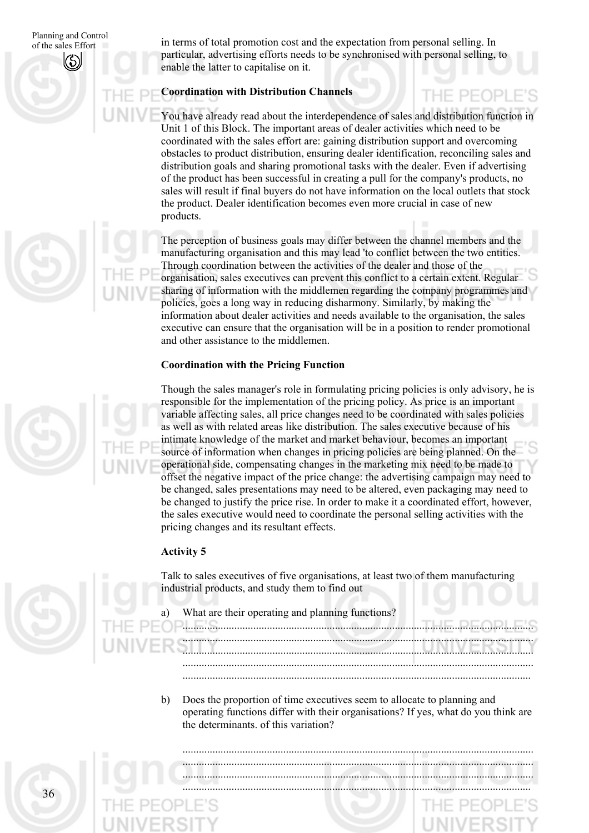Planning and Control in terms of total promotion cost and the expectation from personal selling. In  $\frac{1}{2}$  of the sales Effort particular, advertising efforts needs to be synchronised with personal selling, to enable the latter to capitalise on it.

#### **Coordination with Distribution Channels**

You have already read about the interdependence of sales and distribution function in Unit 1 of this Block. The important areas of dealer activities which need to be coordinated with the sales effort are: gaining distribution support and overcoming obstacles to product distribution, ensuring dealer identification, reconciling sales and distribution goals and sharing promotional tasks with the dealer. Even if advertising of the product has been successful in creating a pull for the company's products, no sales will result if final buyers do not have information on the local outlets that stock the product. Dealer identification becomes even more crucial in case of new products.

THE PEOPL

The perception of business goals may differ between the channel members and the manufacturing organisation and this may lead 'to conflict between the two entities. Through coordination between the activities of the dealer and those of the organisation, sales executives can prevent this conflict to a certain extent. Regular sharing of information with the middlemen regarding the company programmes and policies, goes a long way in reducing disharmony. Similarly, by making the information about dealer activities and needs available to the organisation, the sales executive can ensure that the organisation will be in a position to render promotional and other assistance to the middlemen.

#### **Coordination with the Pricing Function**

Though the sales manager's role in formulating pricing policies is only advisory, he is responsible for the implementation of the pricing policy. As price is an important variable affecting sales, all price changes need to be coordinated with sales policies as well as with related areas like distribution. The sales executive because of his intimate knowledge of the market and market behaviour, becomes an important source of information when changes in pricing policies are being planned. On the operational side, compensating changes in the marketing mix need to be made to offset the negative impact of the price change: the advertising campaign may need to be changed, sales presentations may need to be altered, even packaging may need to be changed to justify the price rise. In order to make it a coordinated effort, however, the sales executive would need to coordinate the personal selling activities with the pricing changes and its resultant effects.

#### **Activity 5**

Talk to sales executives of five organisations, at least two of them manufacturing industrial products, and study them to find out

- a) What are their operating and planning functions?
- ................................................................................................................................. ................................................................................................................................

................................................................................................................................. .................................................................................................................................

.................................................................................................................................

b) Does the proportion of time executives seem to allocate to planning and operating functions differ with their organisations? If yes, what do you think are the determinants. of this variation?





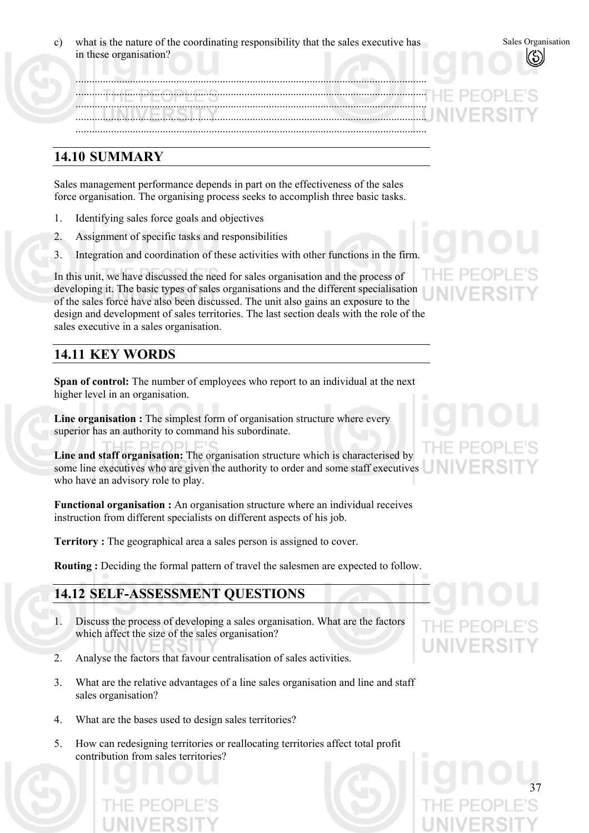| $\mathbf{c}$ ) | what is the nature of the coordinating responsibility that the sales executive has |  |
|----------------|------------------------------------------------------------------------------------|--|
|                | in these organisation?                                                             |  |

.................................................................................................................................

................................................................................................................................. ................................................................................................................................. ................................................................................................................................. .................................................................................................................................

#### **14.10 SUMMARY**

Sales management performance depends in part on the effectiveness of the sales force organisation. The organising process seeks to accomplish three basic tasks.

- 1. Identifying sales force goals and objectives
- 2. Assignment of specific tasks and responsibilities
- 3. Integration and coordination of these activities with other functions in the firm.

In this unit, we have discussed the need for sales organisation and the process of developing it. The basic types of sales organisations and the different specialisation of the sales force have also been discussed. The unit also gains an exposure to the design and development of sales territories. The last section deals with the role of the sales executive in a sales organisation.

#### **14.11 KEY WORDS**

**Span of control:** The number of employees who report to an individual at the next higher level in an organisation.

**Line organisation :** The simplest form of organisation structure where every superior has an authority to command his subordinate.

**Line and staff organisation:** The organisation structure which is characterised by some line executives who are given the authority to order and some staff executives who have an advisory role to play.

**Functional organisation :** An organisation structure where an individual receives instruction from different specialists on different aspects of his job.

**Territory :** The geographical area a sales person is assigned to cover.

**Routing :** Deciding the formal pattern of travel the salesmen are expected to follow.

### **14.12 SELF-ASSESSMENT QUESTIONS**

- 1. Discuss the process of developing a sales organisation. What are the factors which affect the size of the sales organisation?
- 2. Analyse the factors that favour centralisation of sales activities.
- 3. What are the relative advantages of a line sales organisation and line and staff sales organisation?
- 4. What are the bases used to design sales territories?
- 5. How can redesigning territories or reallocating territories affect total profit contribution from sales territories?



37

Sales Organisation